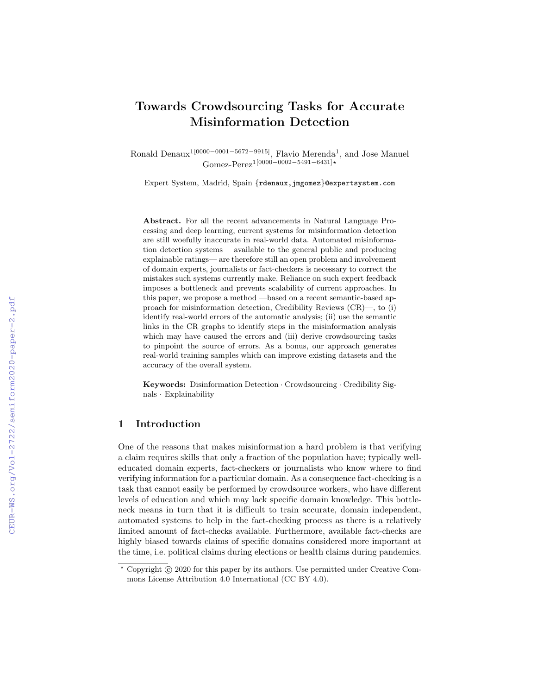# Towards Crowdsourcing Tasks for Accurate Misinformation Detection

Ronald Denaux<sup>1[0000–0001–5672–9915]</sup>, Flavio Merenda<sup>1</sup>, and Jose Manuel Gomez-Perez1[0000−0002−5491−6431]?

Expert System, Madrid, Spain {rdenaux,jmgomez}@expertsystem.com

Abstract. For all the recent advancements in Natural Language Processing and deep learning, current systems for misinformation detection are still woefully inaccurate in real-world data. Automated misinformation detection systems —available to the general public and producing explainable ratings— are therefore still an open problem and involvement of domain experts, journalists or fact-checkers is necessary to correct the mistakes such systems currently make. Reliance on such expert feedback imposes a bottleneck and prevents scalability of current approaches. In this paper, we propose a method —based on a recent semantic-based approach for misinformation detection, Credibility Reviews (CR)—, to (i) identify real-world errors of the automatic analysis; (ii) use the semantic links in the CR graphs to identify steps in the misinformation analysis which may have caused the errors and (iii) derive crowdsourcing tasks to pinpoint the source of errors. As a bonus, our approach generates real-world training samples which can improve existing datasets and the accuracy of the overall system.

Keywords: Disinformation Detection · Crowdsourcing · Credibility Signals · Explainability

## 1 Introduction

One of the reasons that makes misinformation a hard problem is that verifying a claim requires skills that only a fraction of the population have; typically welleducated domain experts, fact-checkers or journalists who know where to find verifying information for a particular domain. As a consequence fact-checking is a task that cannot easily be performed by crowdsource workers, who have different levels of education and which may lack specific domain knowledge. This bottleneck means in turn that it is difficult to train accurate, domain independent, automated systems to help in the fact-checking process as there is a relatively limited amount of fact-checks available. Furthermore, available fact-checks are highly biased towards claims of specific domains considered more important at the time, i.e. political claims during elections or health claims during pandemics.

 $*$  Copyright  $\circled{c}$  2020 for this paper by its authors. Use permitted under Creative Commons License Attribution 4.0 International (CC BY 4.0).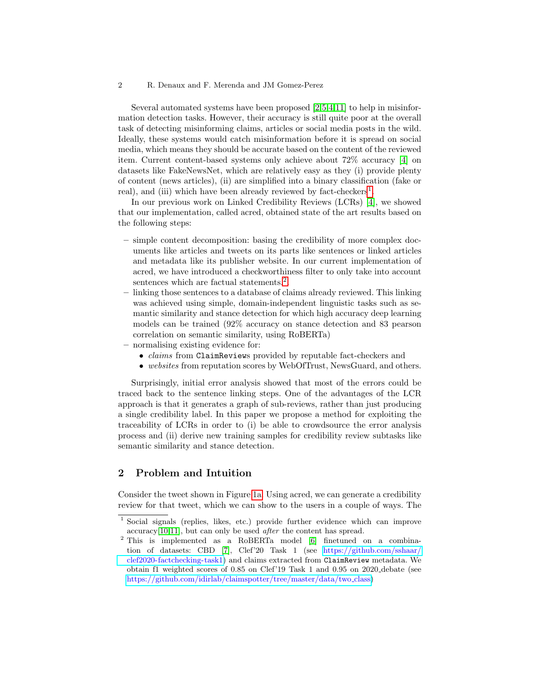#### 2 R. Denaux and F. Merenda and JM Gomez-Perez

Several automated systems have been proposed [\[2](#page-8-0)[,5,](#page-8-1)[4,](#page-8-2)[11\]](#page-8-3) to help in misinformation detection tasks. However, their accuracy is still quite poor at the overall task of detecting misinforming claims, articles or social media posts in the wild. Ideally, these systems would catch misinformation before it is spread on social media, which means they should be accurate based on the content of the reviewed item. Current content-based systems only achieve about 72% accuracy [\[4\]](#page-8-2) on datasets like FakeNewsNet, which are relatively easy as they (i) provide plenty of content (news articles), (ii) are simplified into a binary classification (fake or real), and (iii) which have been already reviewed by fact-checkers<sup>[1](#page-1-0)</sup>.

In our previous work on Linked Credibility Reviews (LCRs) [\[4\]](#page-8-2), we showed that our implementation, called acred, obtained state of the art results based on the following steps:

- simple content decomposition: basing the credibility of more complex documents like articles and tweets on its parts like sentences or linked articles and metadata like its publisher website. In our current implementation of acred, we have introduced a checkworthiness filter to only take into account sentences which are factual statements.<sup>[2](#page-1-1)</sup>.
- linking those sentences to a database of claims already reviewed. This linking was achieved using simple, domain-independent linguistic tasks such as semantic similarity and stance detection for which high accuracy deep learning models can be trained (92% accuracy on stance detection and 83 pearson correlation on semantic similarity, using RoBERTa)
- normalising existing evidence for:
	- claims from ClaimReviews provided by reputable fact-checkers and
	- websites from reputation scores by WebOfTrust, NewsGuard, and others.

Surprisingly, initial error analysis showed that most of the errors could be traced back to the sentence linking steps. One of the advantages of the LCR approach is that it generates a graph of sub-reviews, rather than just producing a single credibility label. In this paper we propose a method for exploiting the traceability of LCRs in order to (i) be able to crowdsource the error analysis process and (ii) derive new training samples for credibility review subtasks like semantic similarity and stance detection.

# 2 Problem and Intuition

Consider the tweet shown in Figure [1a.](#page-3-0) Using acred, we can generate a credibility review for that tweet, which we can show to the users in a couple of ways. The

<span id="page-1-0"></span><sup>1</sup> Social signals (replies, likes, etc.) provide further evidence which can improve  $\arccuracy[10,11]$  $\arccuracy[10,11]$  $\arccuracy[10,11]$ , but can only be used *after* the content has spread.

<span id="page-1-1"></span><sup>&</sup>lt;sup>2</sup> This is implemented as a RoBERTa model [\[6\]](#page-8-5) finetuned on a combination of datasets: CBD [\[7\]](#page-8-6), Clef'20 Task 1 (see [https://github.com/sshaar/](https://github.com/sshaar/clef2020-factchecking-task1) [clef2020-factchecking-task1\)](https://github.com/sshaar/clef2020-factchecking-task1) and claims extracted from ClaimReview metadata. We obtain f1 weighted scores of 0.85 on Clef'19 Task 1 and 0.95 on 2020 debate (see [https://github.com/idirlab/claimspotter/tree/master/data/two](https://github.com/idirlab/claimspotter/tree/master/data/two_class) class)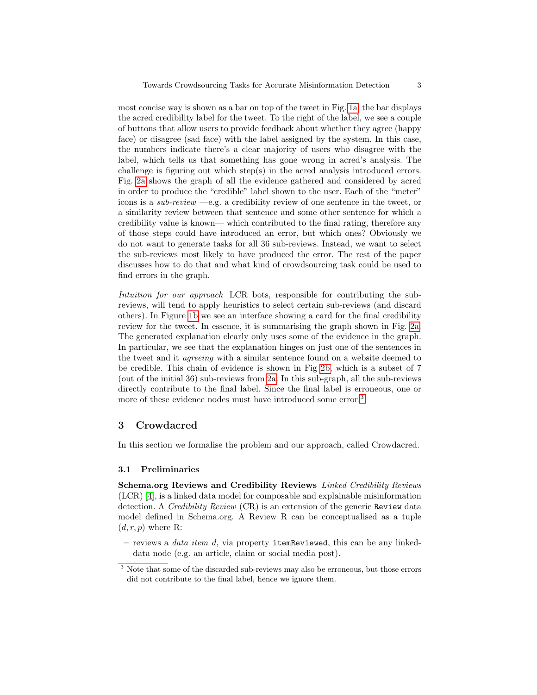most concise way is shown as a bar on top of the tweet in Fig. [1a;](#page-3-0) the bar displays the acred credibility label for the tweet. To the right of the label, we see a couple of buttons that allow users to provide feedback about whether they agree (happy face) or disagree (sad face) with the label assigned by the system. In this case, the numbers indicate there's a clear majority of users who disagree with the label, which tells us that something has gone wrong in acred's analysis. The challenge is figuring out which step(s) in the acred analysis introduced errors. Fig. [2a](#page-3-1) shows the graph of all the evidence gathered and considered by acred in order to produce the "credible" label shown to the user. Each of the "meter" icons is a sub-review —e.g. a credibility review of one sentence in the tweet, or a similarity review between that sentence and some other sentence for which a credibility value is known— which contributed to the final rating, therefore any of those steps could have introduced an error, but which ones? Obviously we do not want to generate tasks for all 36 sub-reviews. Instead, we want to select the sub-reviews most likely to have produced the error. The rest of the paper discusses how to do that and what kind of crowdsourcing task could be used to find errors in the graph.

Intuition for our approach LCR bots, responsible for contributing the subreviews, will tend to apply heuristics to select certain sub-reviews (and discard others). In Figure [1b](#page-3-0) we see an interface showing a card for the final credibility review for the tweet. In essence, it is summarising the graph shown in Fig. [2a.](#page-3-1) The generated explanation clearly only uses some of the evidence in the graph. In particular, we see that the explanation hinges on just one of the sentences in the tweet and it agreeing with a similar sentence found on a website deemed to be credible. This chain of evidence is shown in Fig [2b,](#page-3-1) which is a subset of 7 (out of the initial 36) sub-reviews from [2a.](#page-3-1) In this sub-graph, all the sub-reviews directly contribute to the final label. Since the final label is erroneous, one or more of these evidence nodes must have introduced some error.<sup>[3](#page-2-0)</sup>

### 3 Crowdacred

In this section we formalise the problem and our approach, called Crowdacred.

#### 3.1 Preliminaries

Schema.org Reviews and Credibility Reviews Linked Credibility Reviews (LCR) [\[4\]](#page-8-2), is a linked data model for composable and explainable misinformation detection. A *Credibility Review* (CR) is an extension of the generic Review data model defined in Schema.org. A Review R can be conceptualised as a tuple  $(d, r, p)$  where R:

– reviews a *data item d*, via property itemReviewed, this can be any linkeddata node (e.g. an article, claim or social media post).

<span id="page-2-0"></span><sup>&</sup>lt;sup>3</sup> Note that some of the discarded sub-reviews may also be erroneous, but those errors did not contribute to the final label, hence we ignore them.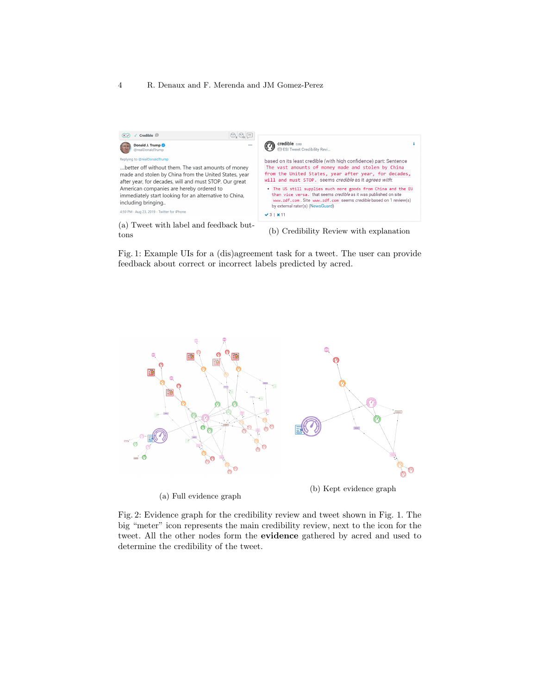<span id="page-3-0"></span>

Fig. 1: Example UIs for a (dis)agreement task for a tweet. The user can provide feedback about correct or incorrect labels predicted by acred.

<span id="page-3-1"></span>

Fig. 2: Evidence graph for the credibility review and tweet shown in Fig. 1. The big "meter" icon represents the main credibility review, next to the icon for the tweet. All the other nodes form the evidence gathered by acred and used to determine the credibility of the tweet.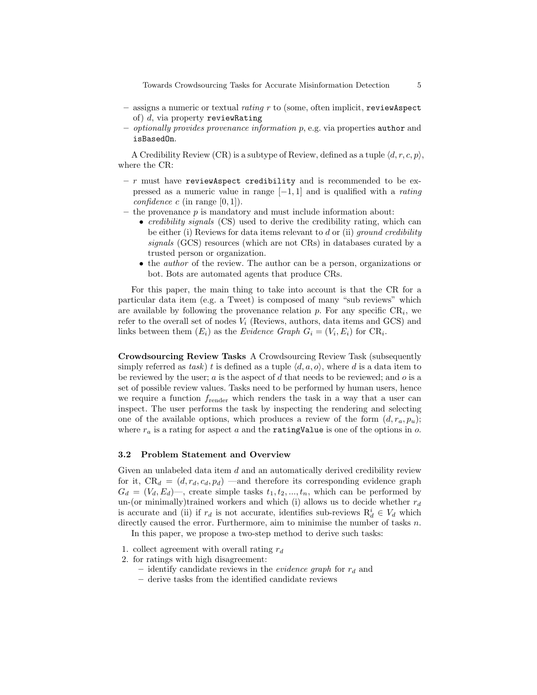Towards Crowdsourcing Tasks for Accurate Misinformation Detection 5

- $-$  assigns a numeric or textual *rating r* to (some, often implicit, reviewAspect of)  $d$ , via property reviewRating
- *optionally provides provenance information*  $p$ , e.g. via properties **author** and isBasedOn.

A Credibility Review (CR) is a subtype of Review, defined as a tuple  $\langle d, r, c, p \rangle$ , where the CR:

- $r$  must have reviewAspect credibility and is recommended to be expressed as a numeric value in range  $[-1, 1]$  and is qualified with a *rating confidence* c (in range  $[0, 1]$ ).
- the provenance  $p$  is mandatory and must include information about:
	- *credibility signals* (CS) used to derive the credibility rating, which can be either (i) Reviews for data items relevant to  $d$  or (ii) ground credibility signals (GCS) resources (which are not CRs) in databases curated by a trusted person or organization.
	- the *author* of the review. The author can be a person, organizations or bot. Bots are automated agents that produce CRs.

For this paper, the main thing to take into account is that the CR for a particular data item (e.g. a Tweet) is composed of many "sub reviews" which are available by following the provenance relation  $p$ . For any specific  $CR_i$ , we refer to the overall set of nodes  $V_i$  (Reviews, authors, data items and GCS) and links between them  $(E_i)$  as the *Evidence Graph*  $G_i = (V_i, E_i)$  for  $CR_i$ .

Crowdsourcing Review Tasks A Crowdsourcing Review Task (subsequently simply referred as task) t is defined as a tuple  $\langle d, a, o \rangle$ , where d is a data item to be reviewed by the user;  $a$  is the aspect of  $d$  that needs to be reviewed; and  $o$  is a set of possible review values. Tasks need to be performed by human users, hence we require a function  $f_{\text{render}}$  which renders the task in a way that a user can inspect. The user performs the task by inspecting the rendering and selecting one of the available options, which produces a review of the form  $(d, r_a, p_u)$ ; where  $r_a$  is a rating for aspect a and the **ratingValue** is one of the options in o.

#### 3.2 Problem Statement and Overview

Given an unlabeled data item d and an automatically derived credibility review for it,  $CR_d = (d, r_d, c_d, p_d)$  —and therefore its corresponding evidence graph  $G_d = (V_d, E_d)$ , create simple tasks  $t_1, t_2, ..., t_n$ , which can be performed by un-(or minimally)trained workers and which (i) allows us to decide whether  $r_d$ is accurate and (ii) if  $r_d$  is not accurate, identifies sub-reviews  $R_d^i \in V_d$  which directly caused the error. Furthermore, aim to minimise the number of tasks  $n$ .

In this paper, we propose a two-step method to derive such tasks:

- 1. collect agreement with overall rating  $r_d$
- 2. for ratings with high disagreement:
	- identify candidate reviews in the *evidence graph* for  $r_d$  and
	- derive tasks from the identified candidate reviews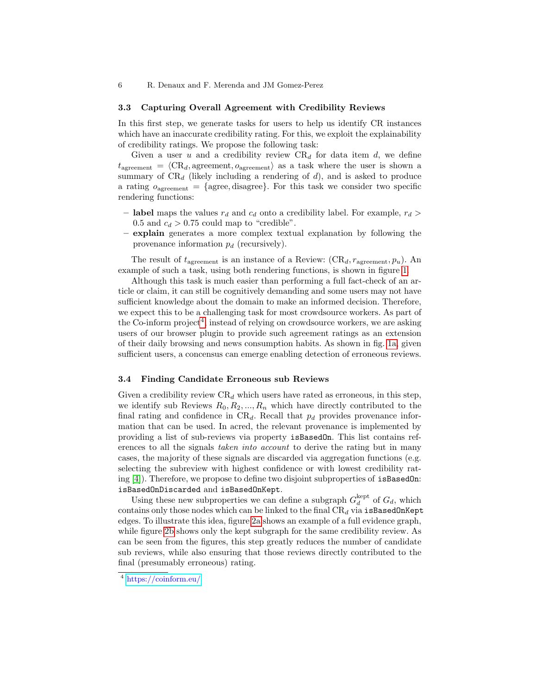6 R. Denaux and F. Merenda and JM Gomez-Perez

#### 3.3 Capturing Overall Agreement with Credibility Reviews

In this first step, we generate tasks for users to help us identify CR instances which have an inaccurate credibility rating. For this, we exploit the explainability of credibility ratings. We propose the following task:

Given a user u and a credibility review  $CR_d$  for data item d, we define  $t_{\text{agreement}} = \langle \text{CR}_d, \text{agreement}, o_{\text{agreement}} \rangle$  as a task where the user is shown a summary of  $CR_d$  (likely including a rendering of d), and is asked to produce a rating  $o_{\text{agreement}} = \{\text{agree}, \text{disagree}\}\.$  For this task we consider two specific rendering functions:

- label maps the values  $r_d$  and  $c_d$  onto a credibility label. For example,  $r_d$ 0.5 and  $c_d > 0.75$  could map to "credible".
- explain generates a more complex textual explanation by following the provenance information  $p_d$  (recursively).

The result of  $t_{\text{agreement}}$  is an instance of a Review:  $(\text{CR}_d, r_{\text{agreement}}, p_u)$ . An example of such a task, using both rendering functions, is shown in figure [1.](#page-3-0)

Although this task is much easier than performing a full fact-check of an article or claim, it can still be cognitively demanding and some users may not have sufficient knowledge about the domain to make an informed decision. Therefore, we expect this to be a challenging task for most crowdsource workers. As part of the Co-inform project<sup>[4](#page-5-0)</sup>, instead of relying on crowdsource workers, we are asking users of our browser plugin to provide such agreement ratings as an extension of their daily browsing and news consumption habits. As shown in fig. [1a,](#page-3-0) given sufficient users, a concensus can emerge enabling detection of erroneous reviews.

#### 3.4 Finding Candidate Erroneous sub Reviews

Given a credibility review  $CR_d$  which users have rated as erroneous, in this step, we identify sub Reviews  $R_0, R_2, ..., R_n$  which have directly contributed to the final rating and confidence in  $CR_d$ . Recall that  $p_d$  provides provenance information that can be used. In acred, the relevant provenance is implemented by providing a list of sub-reviews via property isBasedOn. This list contains references to all the signals taken into account to derive the rating but in many cases, the majority of these signals are discarded via aggregation functions (e.g. selecting the subreview with highest confidence or with lowest credibility rating  $[4]$ ). Therefore, we propose to define two disjoint subproperties of isBasedOn: isBasedOnDiscarded and isBasedOnKept.

Using these new subproperties we can define a subgraph  $G_d^{\text{kept}}$  of  $G_d$ , which contains only those nodes which can be linked to the final  $CR_d$  via isBasedOnKept edges. To illustrate this idea, figure [2a](#page-3-1) shows an example of a full evidence graph, while figure [2b](#page-3-1) shows only the kept subgraph for the same credibility review. As can be seen from the figures, this step greatly reduces the number of candidate sub reviews, while also ensuring that those reviews directly contributed to the final (presumably erroneous) rating.

<span id="page-5-0"></span><sup>4</sup> <https://coinform.eu/>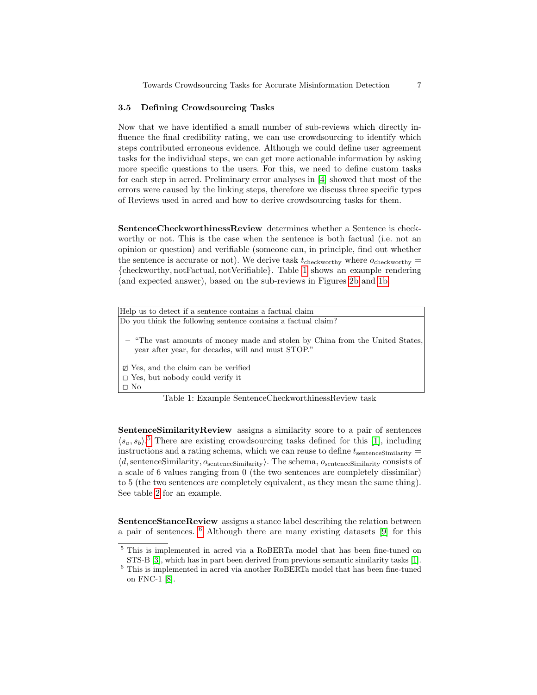#### 3.5 Defining Crowdsourcing Tasks

Now that we have identified a small number of sub-reviews which directly influence the final credibility rating, we can use crowdsourcing to identify which steps contributed erroneous evidence. Although we could define user agreement tasks for the individual steps, we can get more actionable information by asking more specific questions to the users. For this, we need to define custom tasks for each step in acred. Preliminary error analyses in [\[4\]](#page-8-2) showed that most of the errors were caused by the linking steps, therefore we discuss three specific types of Reviews used in acred and how to derive crowdsourcing tasks for them.

SentenceCheckworthinessReview determines whether a Sentence is checkworthy or not. This is the case when the sentence is both factual (i.e. not an opinion or question) and verifiable (someone can, in principle, find out whether the sentence is accurate or not). We derive task  $t_{\text{checkworthy}}$  where  $o_{\text{checkworthy}} =$ {checkworthy, notFactual, notVerifiable}. Table [1](#page-6-0) shows an example rendering (and expected answer), based on the sub-reviews in Figures [2b](#page-3-1) and [1b.](#page-3-0)

<span id="page-6-0"></span>

| Help us to detect if a sentence contains a factual claim                                                                            |
|-------------------------------------------------------------------------------------------------------------------------------------|
| Do you think the following sentence contains a factual claim?                                                                       |
| - "The vast amounts of money made and stolen by China from the United States,<br>year after year, for decades, will and must STOP." |
| $\mathbb Z$ Yes, and the claim can be verified                                                                                      |
| $\Box$ Yes, but nobody could verify it                                                                                              |
| $\Box$ No                                                                                                                           |

Table 1: Example SentenceCheckworthinessReview task

SentenceSimilarityReview assigns a similarity score to a pair of sentences  $\langle s_a, s_b \rangle$ <sup>[5](#page-6-1)</sup>. There are existing crowdsourcing tasks defined for this [\[1\]](#page-8-7), including instructions and a rating schema, which we can reuse to define  $t_{\text{sentenceSimilarity}} =$  $\langle d,$  sentenceSimilarity,  $o_{\text{sentenceSimilarity}}\rangle$ . The schema,  $o_{\text{sentenceSimilarity}}$  consists of a scale of 6 values ranging from 0 (the two sentences are completely dissimilar) to 5 (the two sentences are completely equivalent, as they mean the same thing). See table [2](#page-7-0) for an example.

SentenceStanceReview assigns a stance label describing the relation between a pair of sentences. [6](#page-6-2) Although there are many existing datasets [\[9\]](#page-8-8) for this

<span id="page-6-1"></span><sup>5</sup> This is implemented in acred via a RoBERTa model that has been fine-tuned on

<span id="page-6-2"></span>STS-B [\[3\]](#page-8-9), which has in part been derived from previous semantic similarity tasks [\[1\]](#page-8-7).  $^6$  This is implemented in acred via another RoBERTa model that has been fine-tuned on FNC-1 [\[8\]](#page-8-10).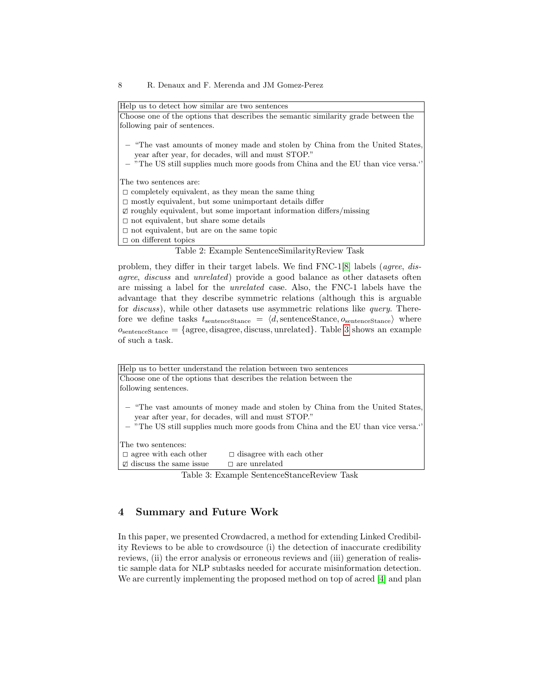<span id="page-7-0"></span>

| Help us to detect how similar are two sentences                                                                                                                                                                         |
|-------------------------------------------------------------------------------------------------------------------------------------------------------------------------------------------------------------------------|
| Choose one of the options that describes the semantic similarity grade between the                                                                                                                                      |
| following pair of sentences.                                                                                                                                                                                            |
| - "The vast amounts of money made and stolen by China from the United States,<br>year after year, for decades, will and must STOP."<br>- "The US still supplies much more goods from China and the EU than vice versa." |
| The two sentences are:                                                                                                                                                                                                  |
| $\Box$ completely equivalent, as they mean the same thing                                                                                                                                                               |
| $\Box$ mostly equivalent, but some unimportant details differ                                                                                                                                                           |
| $\varnothing$ roughly equivalent, but some important information differs/missing                                                                                                                                        |
| $\Box$ not equivalent, but share some details                                                                                                                                                                           |
| $\Box$ not equivalent, but are on the same topic                                                                                                                                                                        |
| $\Box$ on different topics                                                                                                                                                                                              |
|                                                                                                                                                                                                                         |

### Table 2: Example SentenceSimilarityReview Task

problem, they differ in their target labels. We find FNC-1[\[8\]](#page-8-10) labels (agree, disagree, discuss and unrelated) provide a good balance as other datasets often are missing a label for the unrelated case. Also, the FNC-1 labels have the advantage that they describe symmetric relations (although this is arguable for discuss), while other datasets use asymmetric relations like query. Therefore we define tasks  $t_{\text{sentenceStance}} = \langle d, \text{sentenceStance}, o_{\text{sentenceStance}} \rangle$  where  $o_{\text{sentenceState}} = \{\text{agree}, \text{disagree}, \text{discuss}, \text{unrelated}\}.$  Table [3](#page-7-1) shows an example of such a task.

<span id="page-7-1"></span>

|                                                    | Help us to better understand the relation between two sentences                                                                                                   |
|----------------------------------------------------|-------------------------------------------------------------------------------------------------------------------------------------------------------------------|
|                                                    | Choose one of the options that describes the relation between the                                                                                                 |
| following sentences.                               |                                                                                                                                                                   |
| year after year, for decades, will and must STOP." | - "The vast amounts of money made and stolen by China from the United States,<br>- "The US still supplies much more goods from China and the EU than vice versa." |
| The two sentences:                                 |                                                                                                                                                                   |
| $\Box$ agree with each other                       | $\Box$ disagree with each other                                                                                                                                   |
| $\varnothing$ discuss the same issue               | $\Box$ are unrelated                                                                                                                                              |
|                                                    |                                                                                                                                                                   |

Table 3: Example SentenceStanceReview Task

### 4 Summary and Future Work

In this paper, we presented Crowdacred, a method for extending Linked Credibility Reviews to be able to crowdsource (i) the detection of inaccurate credibility reviews, (ii) the error analysis or erroneous reviews and (iii) generation of realistic sample data for NLP subtasks needed for accurate misinformation detection. We are currently implementing the proposed method on top of acred [\[4\]](#page-8-2) and plan